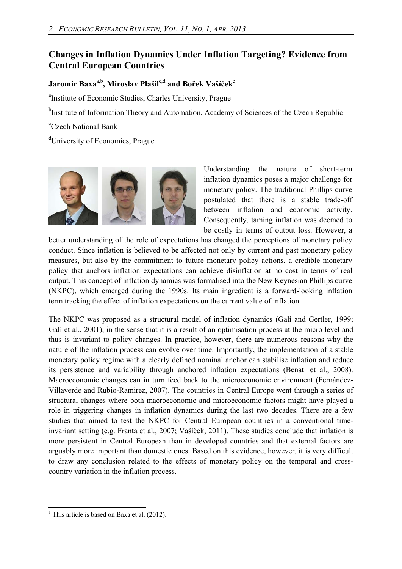## **Changes in Inflation Dynamics Under Inflation Targeting? Evidence from Central European Countries**<sup>[1](#page-0-0)</sup>

 $J$ aromír Baxa<sup>a,b</sup>, Miroslav Plašil<sup>c,d</sup> and Bořek Vašíček<sup>c</sup>

<sup>a</sup>Institute of Economic Studies, Charles University, Prague

<sup>b</sup>Institute of Information Theory and Automation, Academy of Sciences of the Czech Republic

c Czech National Bank

<sup>d</sup>University of Economics, Prague



Understanding the nature of short-term inflation dynamics poses a major challenge for monetary policy. The traditional Phillips curve postulated that there is a stable trade-off between inflation and economic activity. Consequently, taming inflation was deemed to be costly in terms of output loss. However, a

better understanding of the role of expectations has changed the perceptions of monetary policy conduct. Since inflation is believed to be affected not only by current and past monetary policy measures, but also by the commitment to future monetary policy actions, a credible monetary policy that anchors inflation expectations can achieve disinflation at no cost in terms of real output. This concept of inflation dynamics was formalised into the New Keynesian Phillips curve (NKPC), which emerged during the 1990s. Its main ingredient is a forward-looking inflation term tracking the effect of inflation expectations on the current value of inflation.

The NKPC was proposed as a structural model of inflation dynamics (Galí and Gertler, 1999; Galí et al., 2001), in the sense that it is a result of an optimisation process at the micro level and thus is invariant to policy changes. In practice, however, there are numerous reasons why the nature of the inflation process can evolve over time. Importantly, the implementation of a stable monetary policy regime with a clearly defined nominal anchor can stabilise inflation and reduce its persistence and variability through anchored inflation expectations (Benati et al., 2008). Macroeconomic changes can in turn feed back to the microeconomic environment (Fernández-Villaverde and Rubio-Ramirez, 2007). The countries in Central Europe went through a series of structural changes where both macroeconomic and microeconomic factors might have played a role in triggering changes in inflation dynamics during the last two decades. There are a few studies that aimed to test the NKPC for Central European countries in a conventional timeinvariant setting (e.g. Franta et al., 2007; Vašíček, 2011). These studies conclude that inflation is more persistent in Central European than in developed countries and that external factors are arguably more important than domestic ones. Based on this evidence, however, it is very difficult to draw any conclusion related to the effects of monetary policy on the temporal and crosscountry variation in the inflation process.

<span id="page-0-0"></span> $\overline{a}$ <sup>1</sup> This article is based on Baxa et al. (2012).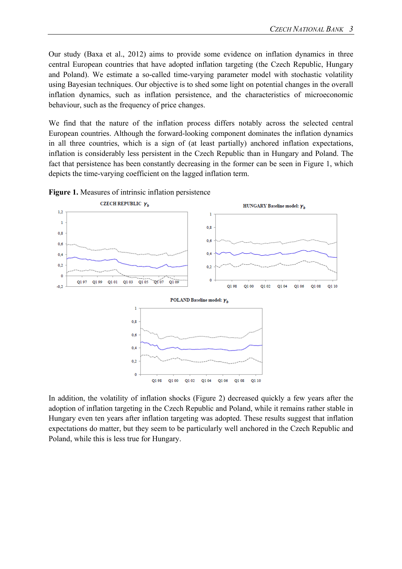Our study (Baxa et al., 2012) aims to provide some evidence on inflation dynamics in three central European countries that have adopted inflation targeting (the Czech Republic, Hungary and Poland). We estimate a so-called time-varying parameter model with stochastic volatility using Bayesian techniques. Our objective is to shed some light on potential changes in the overall inflation dynamics, such as inflation persistence, and the characteristics of microeconomic behaviour, such as the frequency of price changes.

We find that the nature of the inflation process differs notably across the selected central European countries. Although the forward-looking component dominates the inflation dynamics in all three countries, which is a sign of (at least partially) anchored inflation expectations, inflation is considerably less persistent in the Czech Republic than in Hungary and Poland. The fact that persistence has been constantly decreasing in the former can be seen in Figure 1, which depicts the time-varying coefficient on the lagged inflation term.



**Figure 1.** Measures of intrinsic inflation persistence

In addition, the volatility of inflation shocks (Figure 2) decreased quickly a few years after the adoption of inflation targeting in the Czech Republic and Poland, while it remains rather stable in Hungary even ten years after inflation targeting was adopted. These results suggest that inflation expectations do matter, but they seem to be particularly well anchored in the Czech Republic and Poland, while this is less true for Hungary.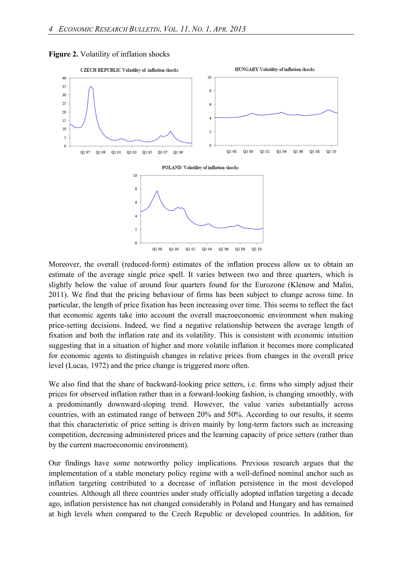



Moreover, the overall (reduced-form) estimates of the inflation process allow us to obtain an estimate of the average single price spell. It varies between two and three quarters, which is slightly below the value of around four quarters found for the Eurozone (Klenow and Malin, 2011). We find that the pricing behaviour of firms has been subject to change across time. In particular, the length of price fixation has been increasing over time. This seems to reflect the fact that economic agents take into account the overall macroeconomic environment when making price-setting decisions. Indeed, we find a negative relationship between the average length of fixation and both the inflation rate and its volatility. This is consistent with economic intuition suggesting that in a situation of higher and more volatile inflation it becomes more complicated for economic agents to distinguish changes in relative prices from changes in the overall price level (Lucas, 1972) and the price change is triggered more often.

We also find that the share of backward-looking price setters, i.e. firms who simply adjust their prices for observed inflation rather than in a forward-looking fashion, is changing smoothly, with a predominantly downward-sloping trend. However, the value varies substantially across countries, with an estimated range of between 20% and 50%. According to our results, it seems that this characteristic of price setting is driven mainly by long-term factors such as increasing competition, decreasing administered prices and the learning capacity of price setters (rather than by the current macroeconomic environment).

Our findings have some noteworthy policy implications. Previous research argues that the implementation of a stable monetary policy regime with a well-defined nominal anchor such as inflation targeting contributed to a decrease of inflation persistence in the most developed countries. Although all three countries under study officially adopted inflation targeting a decade ago, inflation persistence has not changed considerably in Poland and Hungary and has remained at high levels when compared to the Czech Republic or developed countries. In addition, for